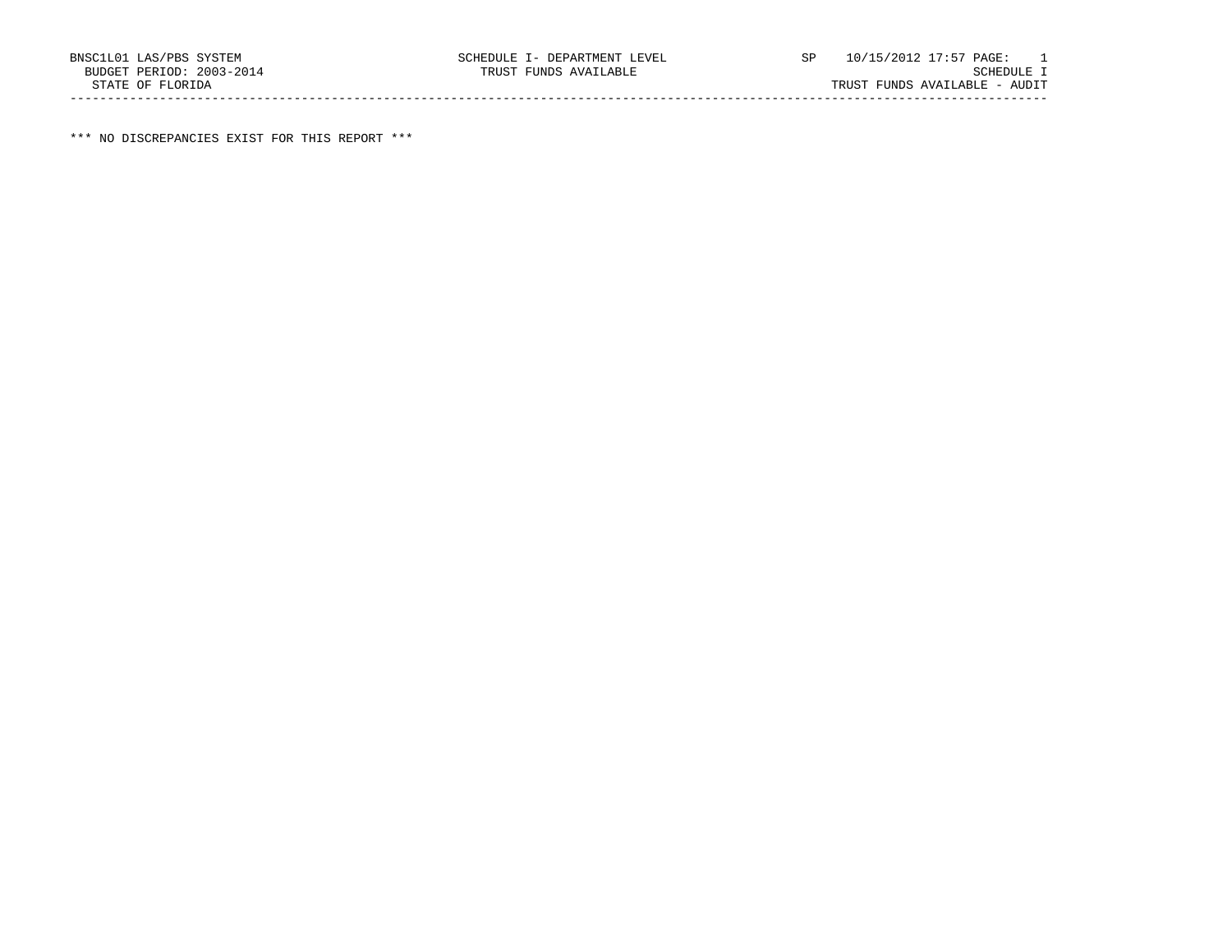\*\*\* NO DISCREPANCIES EXIST FOR THIS REPORT \*\*\*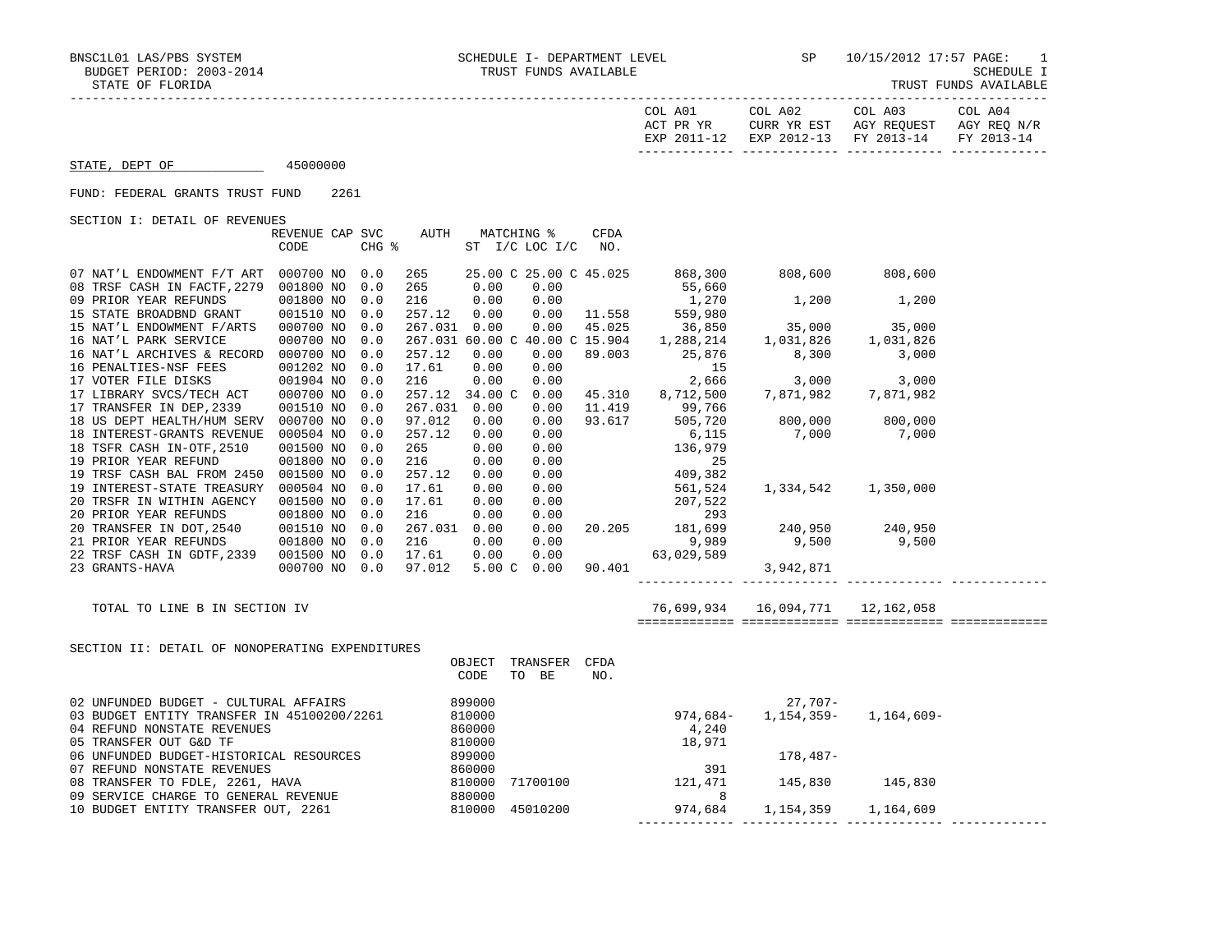| STATE, DEPT OF 45000000                                                                                                                                                                                                                                                                                   |                                 |       |                        |      |                                                                                                                                                                                                                                                                                                   |  |
|-----------------------------------------------------------------------------------------------------------------------------------------------------------------------------------------------------------------------------------------------------------------------------------------------------------|---------------------------------|-------|------------------------|------|---------------------------------------------------------------------------------------------------------------------------------------------------------------------------------------------------------------------------------------------------------------------------------------------------|--|
| FUND: FEDERAL GRANTS TRUST FUND                                                                                                                                                                                                                                                                           | 2261                            |       |                        |      |                                                                                                                                                                                                                                                                                                   |  |
| SECTION I: DETAIL OF REVENUES                                                                                                                                                                                                                                                                             |                                 |       |                        |      |                                                                                                                                                                                                                                                                                                   |  |
|                                                                                                                                                                                                                                                                                                           | REVENUE CAP SVC AUTH MATCHING % |       |                        | CFDA |                                                                                                                                                                                                                                                                                                   |  |
|                                                                                                                                                                                                                                                                                                           | CODE                            | CHG % | ST I/C LOC I/C NO.     |      |                                                                                                                                                                                                                                                                                                   |  |
| 07 NAT'L ENDOWMENT F/T ART 000700 NO 0.0                                                                                                                                                                                                                                                                  |                                 | 265   | 25.00 C 25.00 C 45.025 |      | 868,300 808,600 808,600                                                                                                                                                                                                                                                                           |  |
| 08 TRSF CASH IN FACTF, 2279 001800 NO 0.0                                                                                                                                                                                                                                                                 |                                 |       |                        |      | 265 0.00 0.00 1.558 55,660<br>216 0.00 0.00 11.558 559,980<br>267.031 0.00 0.00 11.558 559,980<br>267.031 60.00 0.00 45.025 36,850 35,000 35,000<br>267.031 60.00 0 40.00 0 15.904 1,288,214 1,031,826 1,031,826                                                                                  |  |
| 09 PRIOR YEAR REFUNDS<br>15 STATE BROADBND GRANT                                                                                                                                                                                                                                                          | 001800 NO 0.0                   |       |                        |      |                                                                                                                                                                                                                                                                                                   |  |
|                                                                                                                                                                                                                                                                                                           | 001510 NO 0.0                   |       |                        |      |                                                                                                                                                                                                                                                                                                   |  |
| 15 NAT'L ENDOWMENT F/ARTS 000700 NO 0.0<br>16 NAT'L PARK SERVICE                                                                                                                                                                                                                                          | 000700 NO 0.0                   |       |                        |      |                                                                                                                                                                                                                                                                                                   |  |
| 16 NAT'L ARCHIVES & RECORD 000700 NO 0.0                                                                                                                                                                                                                                                                  |                                 |       |                        |      |                                                                                                                                                                                                                                                                                                   |  |
|                                                                                                                                                                                                                                                                                                           | 001202 NO 0.0                   |       |                        |      |                                                                                                                                                                                                                                                                                                   |  |
| 16 PENALTIES-NSF FEES<br>17 VOTER FILE DISKS                                                                                                                                                                                                                                                              | 001904 NO 0.0                   |       |                        |      |                                                                                                                                                                                                                                                                                                   |  |
|                                                                                                                                                                                                                                                                                                           |                                 |       |                        |      | $\begin{array}{cccccccc} 257.12 & 0.00 & 0.00 & 89.003 & 25,876 & 8,300 & 3,000 \\ 17.61 & 0.00 & 0.00 & & & 15 \\ 216 & 0.00 & 0.00 & & 2,666 & 3,000 & 3,000 \\ 257.12 & 34.00\text{ }C & 0.00 & 45.310 & 8,712,500 & 7,871,982 & 7,871,982 \end{array}$                                        |  |
| $17 \hspace{0.1cm} \texttt{LIBRARY SVCS/TECH ACT} \hspace{0.2cm} 000700 \hspace{0.1cm} \text{NO} \hspace{0.2cm} 0.0 \\ 17 \hspace{0.1cm} \texttt{TRANSFER} \hspace{0.2cm} \texttt{IN} \hspace{0.2cm} \texttt{DEP}, 2339 \hspace{1cm} 001510 \hspace{0.1cm} \texttt{NO} \hspace{0.2cm} 0.0 \hspace{0.2cm}$ |                                 |       |                        |      |                                                                                                                                                                                                                                                                                                   |  |
| 18 US DEPT HEALTH/HUM SERV 000700 NO 0.0                                                                                                                                                                                                                                                                  |                                 |       |                        |      |                                                                                                                                                                                                                                                                                                   |  |
| 18 INTEREST-GRANTS REVENUE 000504 NO 0.0                                                                                                                                                                                                                                                                  |                                 |       |                        |      |                                                                                                                                                                                                                                                                                                   |  |
| 18 TSFR CASH IN-OTF, 2510                                                                                                                                                                                                                                                                                 |                                 |       |                        |      |                                                                                                                                                                                                                                                                                                   |  |
| 19 PRIOR YEAR REFUND                                                                                                                                                                                                                                                                                      |                                 |       |                        |      |                                                                                                                                                                                                                                                                                                   |  |
| 19 TRSF CASH BAL FROM 2450 001500 NO                                                                                                                                                                                                                                                                      |                                 |       |                        |      |                                                                                                                                                                                                                                                                                                   |  |
| 19 INTEREST-STATE TREASURY 000504 NO<br>20 TRSFR IN WITHIN AGENCY 001500 NO 0.0                                                                                                                                                                                                                           |                                 |       |                        |      |                                                                                                                                                                                                                                                                                                   |  |
|                                                                                                                                                                                                                                                                                                           |                                 |       |                        |      |                                                                                                                                                                                                                                                                                                   |  |
|                                                                                                                                                                                                                                                                                                           |                                 |       |                        |      |                                                                                                                                                                                                                                                                                                   |  |
|                                                                                                                                                                                                                                                                                                           |                                 |       |                        |      |                                                                                                                                                                                                                                                                                                   |  |
| 22 TRSF CASH IN GDTF, 2339 001500 NO 0.0 17.61 0.00                                                                                                                                                                                                                                                       |                                 |       |                        |      |                                                                                                                                                                                                                                                                                                   |  |
| 23 GRANTS-HAVA                                                                                                                                                                                                                                                                                            |                                 |       |                        |      | $\begin{array}{cccccccc} 000700 \, \, \text{NO} & 0.0 & 257.12 & 34.00 \, \, \text{C} & 0.00 & 45.310 & 8,712,500 & 7,871,982 & 7,871,982 \\ 001510 \, \, \text{NO} & 0.0 & 267.031 & 0.00 & 0.00 & 11.419 & 99,766 \\ 000700 \, \, \text{NO} & 0.0 & 97.012 & 0.00 & 0.00 & 93.617 & 505,720 & $ |  |
|                                                                                                                                                                                                                                                                                                           |                                 |       |                        |      |                                                                                                                                                                                                                                                                                                   |  |
| TOTAL TO LINE B IN SECTION IV                                                                                                                                                                                                                                                                             |                                 |       |                        |      | 76,699,934 16,094,771 12,162,058                                                                                                                                                                                                                                                                  |  |
|                                                                                                                                                                                                                                                                                                           |                                 |       |                        |      |                                                                                                                                                                                                                                                                                                   |  |
| SECTION II: DETAIL OF NONOPERATING EXPENDITURES                                                                                                                                                                                                                                                           |                                 |       | OBJECT TRANSFER CFDA   |      |                                                                                                                                                                                                                                                                                                   |  |
|                                                                                                                                                                                                                                                                                                           |                                 |       | CODE TO BE             | NO.  |                                                                                                                                                                                                                                                                                                   |  |
|                                                                                                                                                                                                                                                                                                           |                                 |       |                        |      | 27,707-<br>-974,684, 974,684, 974, 974, 974, 974                                                                                                                                                                                                                                                  |  |
|                                                                                                                                                                                                                                                                                                           |                                 |       |                        |      |                                                                                                                                                                                                                                                                                                   |  |
|                                                                                                                                                                                                                                                                                                           |                                 |       |                        |      |                                                                                                                                                                                                                                                                                                   |  |
|                                                                                                                                                                                                                                                                                                           |                                 |       |                        |      |                                                                                                                                                                                                                                                                                                   |  |
|                                                                                                                                                                                                                                                                                                           |                                 |       |                        |      |                                                                                                                                                                                                                                                                                                   |  |
|                                                                                                                                                                                                                                                                                                           |                                 |       |                        |      |                                                                                                                                                                                                                                                                                                   |  |
|                                                                                                                                                                                                                                                                                                           |                                 |       |                        |      |                                                                                                                                                                                                                                                                                                   |  |
|                                                                                                                                                                                                                                                                                                           |                                 |       |                        |      |                                                                                                                                                                                                                                                                                                   |  |

- 
- 10 BUDGET ENTITY TRANSFER OUT, 2261 810000 45010200 974,684 1,154,359 1,164,609 ------------- ------------- ------------- -------------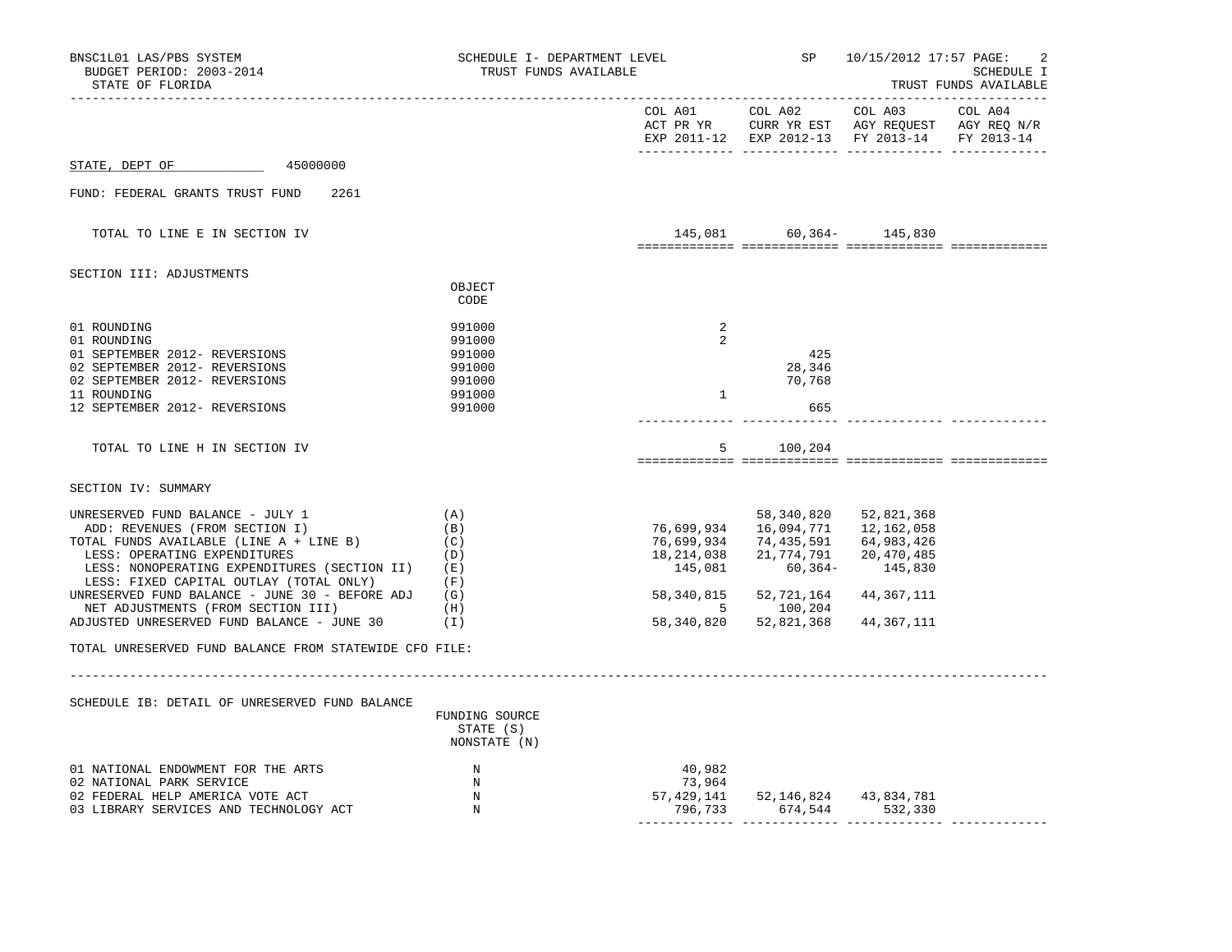| STATE OF FLORIDA                                                                 |                                             | TRUST FUNDS AVAILABLE            |                                                              |                                                                                                           | SP 10/15/2012 17:57 PAGE:<br>SCHEDULE I<br>TRUST FUNDS AVAILABLE |
|----------------------------------------------------------------------------------|---------------------------------------------|----------------------------------|--------------------------------------------------------------|-----------------------------------------------------------------------------------------------------------|------------------------------------------------------------------|
|                                                                                  |                                             | COL A01                          | COL A02                                                      | COL A03<br>ACT PR YR CURR YR EST AGY REQUEST AGY REQ N/R<br>EXP 2011-12 EXP 2012-13 FY 2013-14 FY 2013-14 | COL A04                                                          |
| 45000000<br>STATE, DEPT OF                                                       |                                             |                                  |                                                              |                                                                                                           |                                                                  |
| FUND: FEDERAL GRANTS TRUST FUND<br>2261                                          |                                             |                                  |                                                              |                                                                                                           |                                                                  |
| TOTAL TO LINE E IN SECTION IV                                                    |                                             |                                  | 145,081 60,364- 145,830                                      |                                                                                                           |                                                                  |
| SECTION III: ADJUSTMENTS                                                         |                                             |                                  |                                                              |                                                                                                           |                                                                  |
|                                                                                  | OBJECT<br>CODE                              |                                  |                                                              |                                                                                                           |                                                                  |
| 01 ROUNDING                                                                      | 991000                                      | 2                                |                                                              |                                                                                                           |                                                                  |
| 01 ROUNDING<br>01 SEPTEMBER 2012- REVERSIONS                                     | 991000<br>991000                            | 2                                | 425                                                          |                                                                                                           |                                                                  |
| 02 SEPTEMBER 2012- REVERSIONS                                                    | 991000                                      |                                  | 28,346                                                       |                                                                                                           |                                                                  |
| 02 SEPTEMBER 2012- REVERSIONS<br>11 ROUNDING                                     | 991000<br>991000                            | $\mathbf{1}$                     | 70,768                                                       |                                                                                                           |                                                                  |
| 12 SEPTEMBER 2012- REVERSIONS                                                    | 991000                                      |                                  | 665                                                          |                                                                                                           |                                                                  |
| TOTAL TO LINE H IN SECTION IV                                                    |                                             |                                  | 5 100,204                                                    |                                                                                                           |                                                                  |
| SECTION IV: SUMMARY                                                              |                                             |                                  |                                                              |                                                                                                           |                                                                  |
| UNRESERVED FUND BALANCE - JULY 1                                                 | (A)                                         |                                  | 58,340,820                                                   | 52,821,368                                                                                                |                                                                  |
| ADD: REVENUES (FROM SECTION I)                                                   | (B)                                         |                                  | 76,699,934 16,094,771 12,162,058                             |                                                                                                           |                                                                  |
| TOTAL FUNDS AVAILABLE (LINE A + LINE B)                                          | (C)                                         |                                  | 76,699,934 74,435,591 64,983,426                             |                                                                                                           |                                                                  |
| LESS: OPERATING EXPENDITURES<br>LESS: NONOPERATING EXPENDITURES (SECTION II) (E) | (D)                                         | 145,081                          | 18, 214, 038 21, 774, 791 20, 470, 485<br>$60,364 - 145,830$ |                                                                                                           |                                                                  |
| LESS: FIXED CAPITAL OUTLAY (TOTAL ONLY)                                          | (F)                                         |                                  |                                                              |                                                                                                           |                                                                  |
| UNRESERVED FUND BALANCE - JUNE 30 - BEFORE ADJ                                   | (G)                                         |                                  | 58, 340, 815 52, 721, 164                                    | 44,367,111                                                                                                |                                                                  |
| NET ADJUSTMENTS (FROM SECTION III)                                               | (H)                                         |                                  | 5 100,204                                                    |                                                                                                           |                                                                  |
| ADJUSTED UNRESERVED FUND BALANCE - JUNE 30                                       | (I)                                         |                                  | 58, 340, 820 52, 821, 368                                    | 44,367,111                                                                                                |                                                                  |
| TOTAL UNRESERVED FUND BALANCE FROM STATEWIDE CFO FILE:                           |                                             |                                  |                                                              |                                                                                                           |                                                                  |
|                                                                                  |                                             |                                  |                                                              |                                                                                                           |                                                                  |
| SCHEDULE IB: DETAIL OF UNRESERVED FUND BALANCE                                   | FUNDING SOURCE<br>STATE (S)<br>NONSTATE (N) |                                  |                                                              |                                                                                                           |                                                                  |
| 01 NATIONAL ENDOWMENT FOR THE ARTS                                               | $\mathbb N$                                 | 40,982                           |                                                              |                                                                                                           |                                                                  |
| 02 NATIONAL PARK SERVICE                                                         | N                                           | 73,964                           |                                                              |                                                                                                           |                                                                  |
| 02 FEDERAL HELP AMERICA VOTE ACT<br>03 LIBRARY SERVICES AND TECHNOLOGY ACT       | $\mathbb N$<br>N                            | 57,429,141 52,146,824 43,834,781 | 796,733 674,544 532,330                                      |                                                                                                           |                                                                  |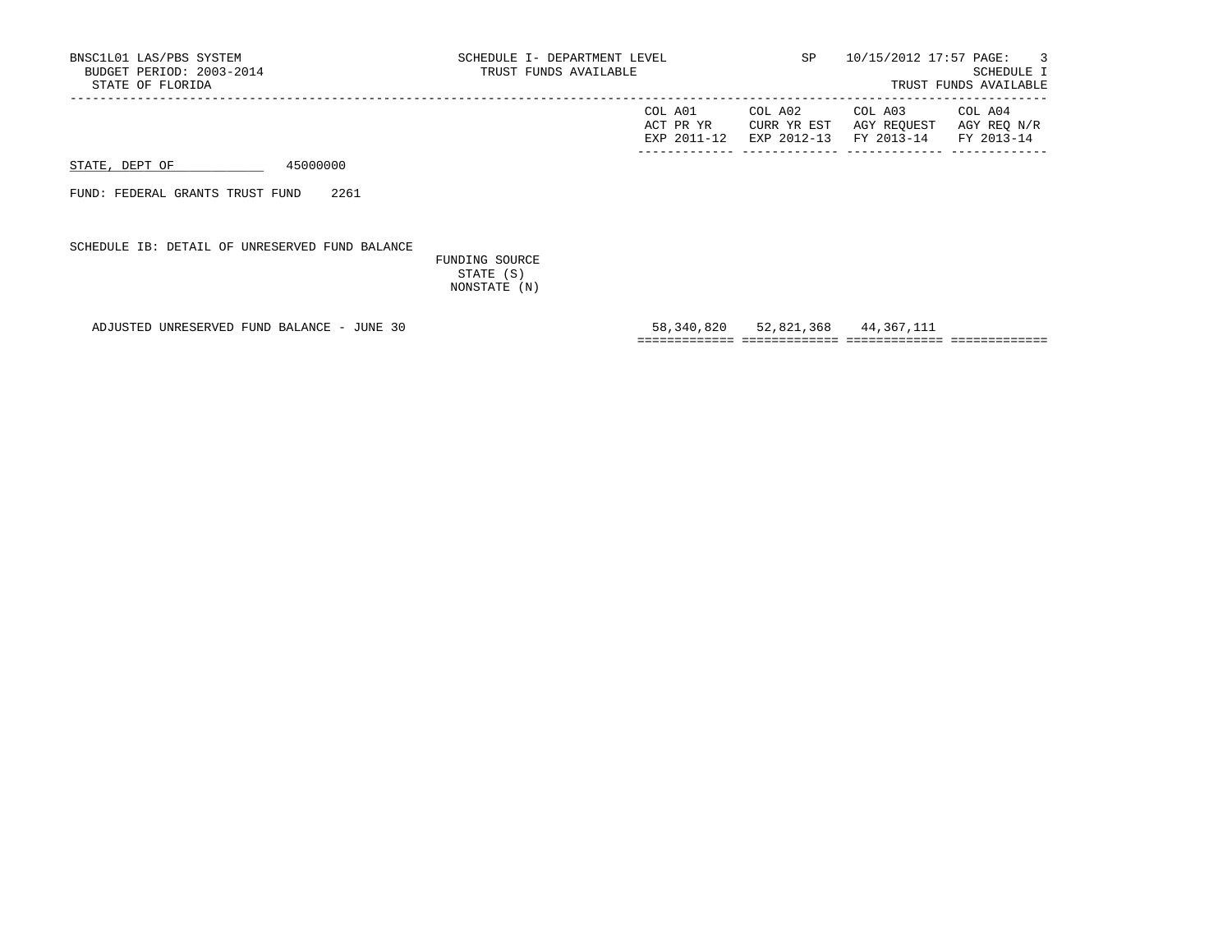| BNSC1L01 LAS/PBS SYSTEM<br>BUDGET PERIOD: 2003-2014<br>STATE OF FLORIDA | SCHEDULE I- DEPARTMENT LEVEL<br>TRUST FUNDS AVAILABLE | <b>SP</b>                             | 10/15/2012 17:57 PAGE:               | $\overline{\phantom{a}}$ 3<br>SCHEDULE I<br>TRUST FUNDS AVAILABLE |
|-------------------------------------------------------------------------|-------------------------------------------------------|---------------------------------------|--------------------------------------|-------------------------------------------------------------------|
|                                                                         | COL A01<br>ACT PR YR<br>EXP 2011-12                   | COL A02<br>CURR YR EST<br>EXP 2012-13 | COL A03<br>AGY REOUEST<br>FY 2013-14 | COL A04<br>AGY REO N/R<br>FY 2013-14                              |
| 45000000<br>STATE, DEPT OF                                              |                                                       |                                       |                                      |                                                                   |
| 2261<br>FUND: FEDERAL GRANTS TRUST FUND                                 |                                                       |                                       |                                      |                                                                   |
| SCHEDULE IB: DETAIL OF UNRESERVED FUND BALANCE                          |                                                       |                                       |                                      |                                                                   |

 FUNDING SOURCE STATE (S) NONSTATE (N)

 ADJUSTED UNRESERVED FUND BALANCE - JUNE 30 58,340,820 52,821,368 44,367,111 ============= ============= ============= =============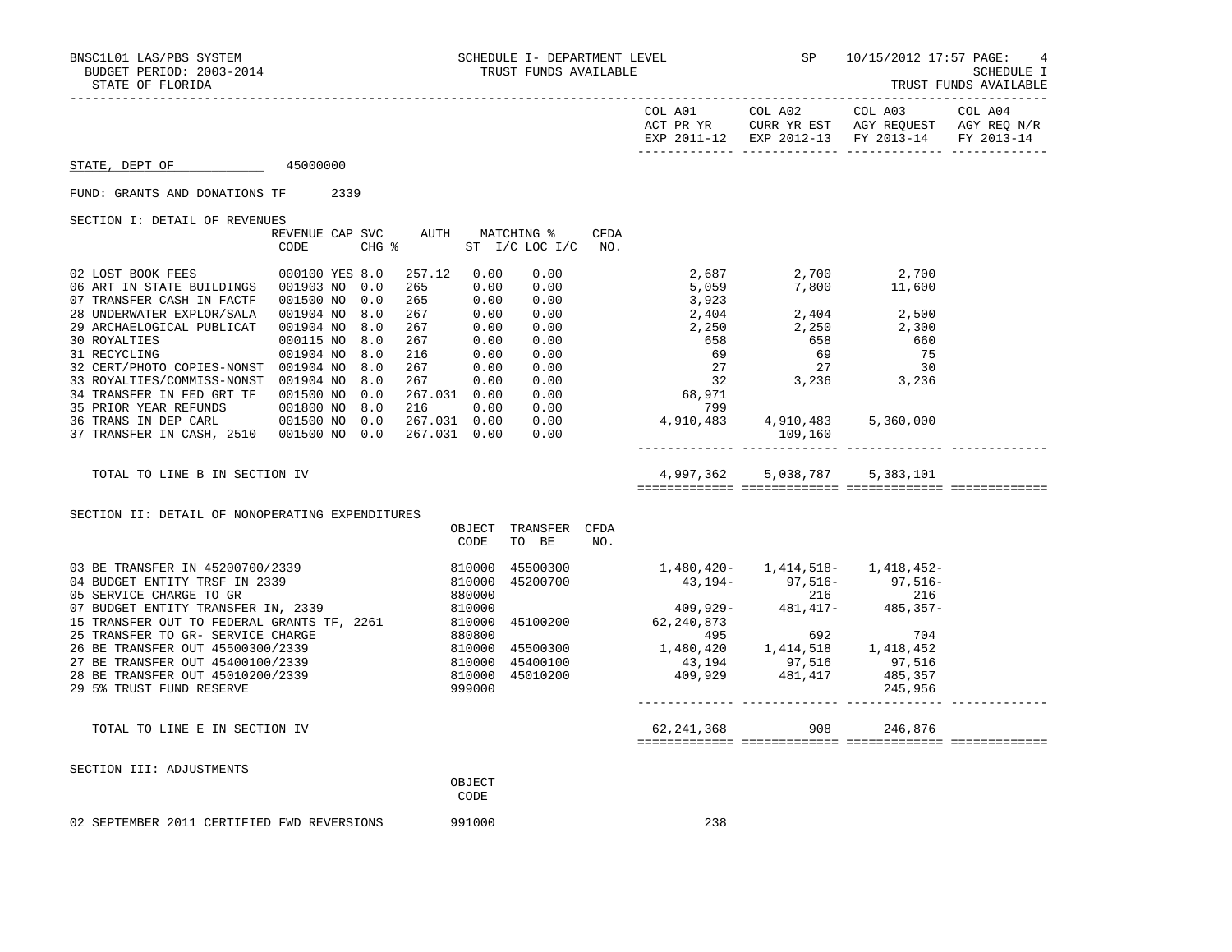TRUST FUNDS AVAILABLE

|                                                                                                                                                                                                                                                                                                                                            |  |  |                |                                                                       |     | EXP 2011-12 EXP 2012-13 FY 2013-14 FY 2013-14                                                                 |                               |  |
|--------------------------------------------------------------------------------------------------------------------------------------------------------------------------------------------------------------------------------------------------------------------------------------------------------------------------------------------|--|--|----------------|-----------------------------------------------------------------------|-----|---------------------------------------------------------------------------------------------------------------|-------------------------------|--|
| STATE, DEPT OF 45000000                                                                                                                                                                                                                                                                                                                    |  |  |                |                                                                       |     |                                                                                                               |                               |  |
| FUND: GRANTS AND DONATIONS TF 2339                                                                                                                                                                                                                                                                                                         |  |  |                |                                                                       |     |                                                                                                               |                               |  |
| SECTION I: DETAIL OF REVENUES                                                                                                                                                                                                                                                                                                              |  |  |                | REVENUE CAP SVC AUTH MATCHING % CFDA<br>CODE CHG % ST I/C LOC I/C NO. |     |                                                                                                               |                               |  |
| $\begin{tabular}{l cccc} \multicolumn{4}{c}{\begin{tabular}{l cccc} $1$ & $40001$ & $40001$ & $400100$ & $7488$ & $100100$ & $788$ & $0$ & $257.12$ & $0.00$ & $0.00$ & $2,687$ & $2,700$ & $2,700$ & $2,700$ \\ 06 $ART IN STATE BULLDINGS & 001903$ & $10$ & $0.0$ & $265$ & $0.00$ & $0.00$ & $5,059$ & $7,800$ & $11,600$ \\ 07 TRANS$ |  |  |                |                                                                       |     |                                                                                                               |                               |  |
| TOTAL TO LINE B IN SECTION IV                                                                                                                                                                                                                                                                                                              |  |  |                |                                                                       |     |                                                                                                               | 4,997,362 5,038,787 5,383,101 |  |
| SECTION II: DETAIL OF NONOPERATING EXPENDITURES                                                                                                                                                                                                                                                                                            |  |  | CODE           | OBJECT TRANSFER CFDA<br>TO BE                                         | NO. |                                                                                                               |                               |  |
| 03 BE TRANSFER IN 45200700/2339<br>$\begin{tabular}{lllllllllllllllllllllll} \hline & & & & & & & & & & 1,480,420- & 1,414,518- & 1,418,452- & 1,414,518- & 1,418,452- & 1,418,452- & 1,418,452- & 1,418,452- & 1,418,452- & 1,418,452- & 1,418,452- & 1,418,452- & 1,418,452- & 1,418,452- & 1,418,452- & 1,418,4$                        |  |  |                |                                                                       |     | 810000 45500300 1,480,420- 1,414,518- 1,418,452-<br>810000 45200700 43,194- 97,516- 97,516-<br>880000 216 216 |                               |  |
| TOTAL TO LINE E IN SECTION IV                                                                                                                                                                                                                                                                                                              |  |  |                |                                                                       |     |                                                                                                               |                               |  |
| SECTION III: ADJUSTMENTS                                                                                                                                                                                                                                                                                                                   |  |  | OBJECT<br>CODE |                                                                       |     |                                                                                                               |                               |  |

02 SEPTEMBER 2011 CERTIFIED FWD REVERSIONS 991000 238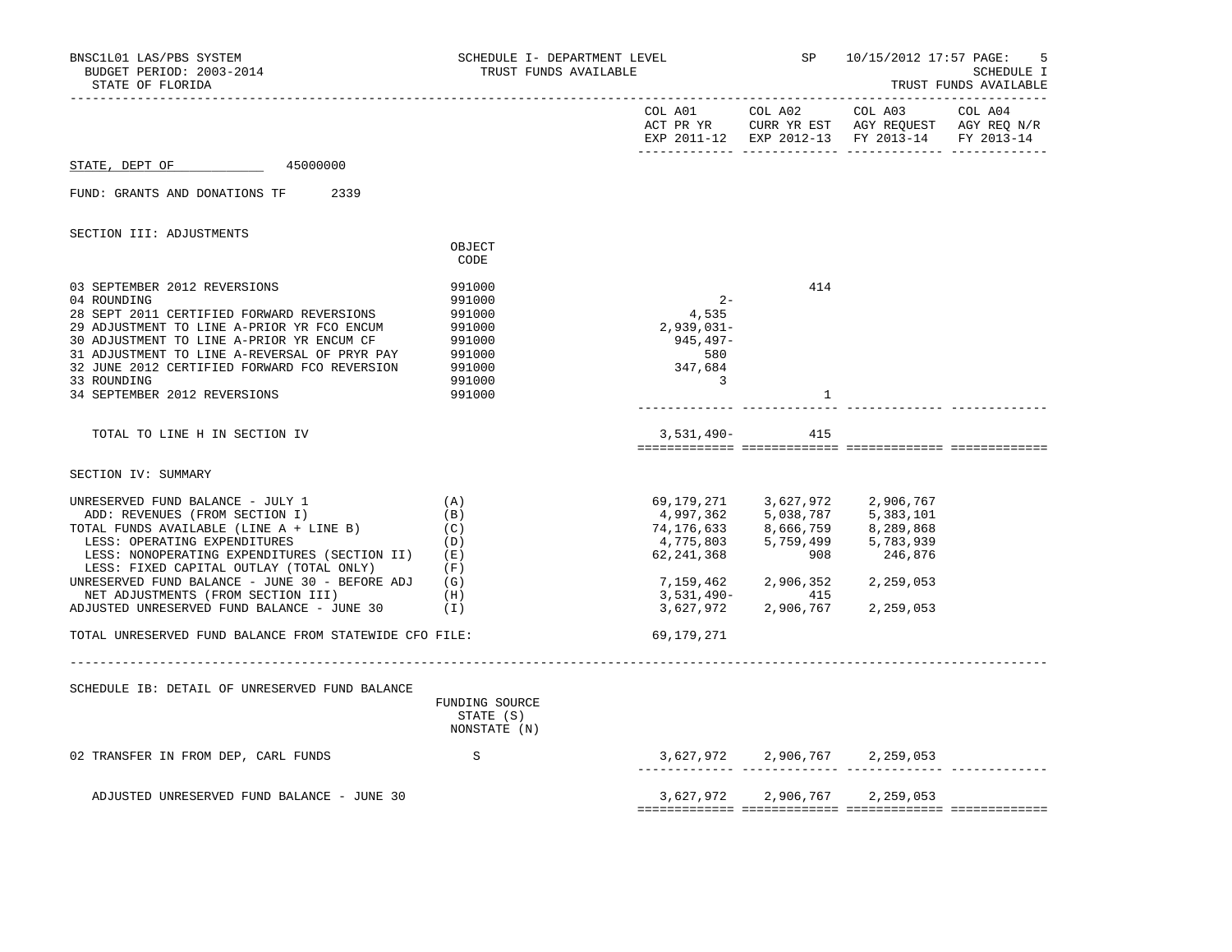| BNSC1L01 LAS/PBS SYSTEM<br>BUDGET PERIOD: 2003-2014<br>STATE OF FLORIDA                                                                                                                                                                                                                                                                                                            | SCHEDULE I- DEPARTMENT LEVEL<br>TRUST FUNDS AVAILABLE                                  |                                                                                |                            | SP 10/15/2012 17:57 PAGE:<br>.5<br>SCHEDULE I<br>TRUST FUNDS AVAILABLE                                                                                                                                                                                                                     |  |
|------------------------------------------------------------------------------------------------------------------------------------------------------------------------------------------------------------------------------------------------------------------------------------------------------------------------------------------------------------------------------------|----------------------------------------------------------------------------------------|--------------------------------------------------------------------------------|----------------------------|--------------------------------------------------------------------------------------------------------------------------------------------------------------------------------------------------------------------------------------------------------------------------------------------|--|
|                                                                                                                                                                                                                                                                                                                                                                                    |                                                                                        |                                                                                |                            | EXP 2011-12 EXP 2012-13 FY 2013-14 FY 2013-14                                                                                                                                                                                                                                              |  |
| 45000000<br>STATE, DEPT OF                                                                                                                                                                                                                                                                                                                                                         |                                                                                        |                                                                                |                            |                                                                                                                                                                                                                                                                                            |  |
| FUND: GRANTS AND DONATIONS TF 2339                                                                                                                                                                                                                                                                                                                                                 |                                                                                        |                                                                                |                            |                                                                                                                                                                                                                                                                                            |  |
| SECTION III: ADJUSTMENTS                                                                                                                                                                                                                                                                                                                                                           |                                                                                        |                                                                                |                            |                                                                                                                                                                                                                                                                                            |  |
|                                                                                                                                                                                                                                                                                                                                                                                    | OBJECT<br>CODE                                                                         |                                                                                |                            |                                                                                                                                                                                                                                                                                            |  |
| 03 SEPTEMBER 2012 REVERSIONS<br>04 ROUNDING<br>28 SEPT 2011 CERTIFIED FORWARD REVERSIONS<br>29 ADJUSTMENT TO LINE A-PRIOR YR FCO ENCUM<br>30 ADJUSTMENT TO LINE A-PRIOR YR ENCUM CF<br>31 ADJUSTMENT TO LINE A-REVERSAL OF PRYR PAY<br>32 JUNE 2012 CERTIFIED FORWARD FCO REVERSION<br>33 ROUNDING<br>34 SEPTEMBER 2012 REVERSIONS                                                 | 991000<br>991000<br>991000<br>991000<br>991000<br>991000<br>991000<br>991000<br>991000 | $2 -$<br>4,535<br>$2,939,031-$<br>945,497-<br>580<br>347,684<br>$\overline{3}$ | 414<br>1                   |                                                                                                                                                                                                                                                                                            |  |
| TOTAL TO LINE H IN SECTION IV                                                                                                                                                                                                                                                                                                                                                      |                                                                                        |                                                                                | 3,531,490- 415             |                                                                                                                                                                                                                                                                                            |  |
| SECTION IV: SUMMARY                                                                                                                                                                                                                                                                                                                                                                |                                                                                        |                                                                                |                            |                                                                                                                                                                                                                                                                                            |  |
| UNRESERVED FUND BALANCE - JULY 1<br>ADD: REVENUES (FROM SECTION I)<br>TOTAL FUNDS AVAILABLE (LINE A + LINE B)<br>LESS: OPERATING EXPENDITURES<br>LESS: NONOPERATING EXPENDITURES (SECTION II) (E)<br>LESS: FIXED CAPITAL OUTLAY (TOTAL ONLY)<br>UNRESERVED FUND BALANCE - JUNE 30 - BEFORE ADJ<br>NET ADJUSTMENTS (FROM SECTION III)<br>ADJUSTED UNRESERVED FUND BALANCE - JUNE 30 | (A)<br>(B)<br>(C)<br>(D)<br>(F)<br>(G)<br>(H)<br>$(\top)$                              | 3,531,490-<br>3,627,972                                                        | 7,159,462 2,906,352<br>415 | 69,179,271 3,627,972 2,906,767<br>4,997,362 5,038,787 5,383,101<br>$\begin{array}{lllllll} 74, 176, 633 & & & 8, 666, 759 & & & 8, 289, 868 \\ 4, 775, 803 & & & 5, 759, 499 & & & 5, 783, 939 \\ 62, 241, 368 & & & & 908 & & & 246, 876 \end{array}$<br>2,259,053<br>2,906,767 2,259,053 |  |
| TOTAL UNRESERVED FUND BALANCE FROM STATEWIDE CFO FILE:                                                                                                                                                                                                                                                                                                                             |                                                                                        | 69,179,271                                                                     |                            |                                                                                                                                                                                                                                                                                            |  |
| SCHEDULE IB: DETAIL OF UNRESERVED FUND BALANCE                                                                                                                                                                                                                                                                                                                                     | FUNDING SOURCE<br>STATE (S)<br>NONSTATE (N)                                            |                                                                                |                            |                                                                                                                                                                                                                                                                                            |  |
| 02 TRANSFER IN FROM DEP, CARL FUNDS                                                                                                                                                                                                                                                                                                                                                | S                                                                                      |                                                                                |                            | $3,627,972$ 2,906,767 2,259,053                                                                                                                                                                                                                                                            |  |
| ADJUSTED UNRESERVED FUND BALANCE - JUNE 30                                                                                                                                                                                                                                                                                                                                         |                                                                                        |                                                                                |                            | 3,627,972 2,906,767 2,259,053                                                                                                                                                                                                                                                              |  |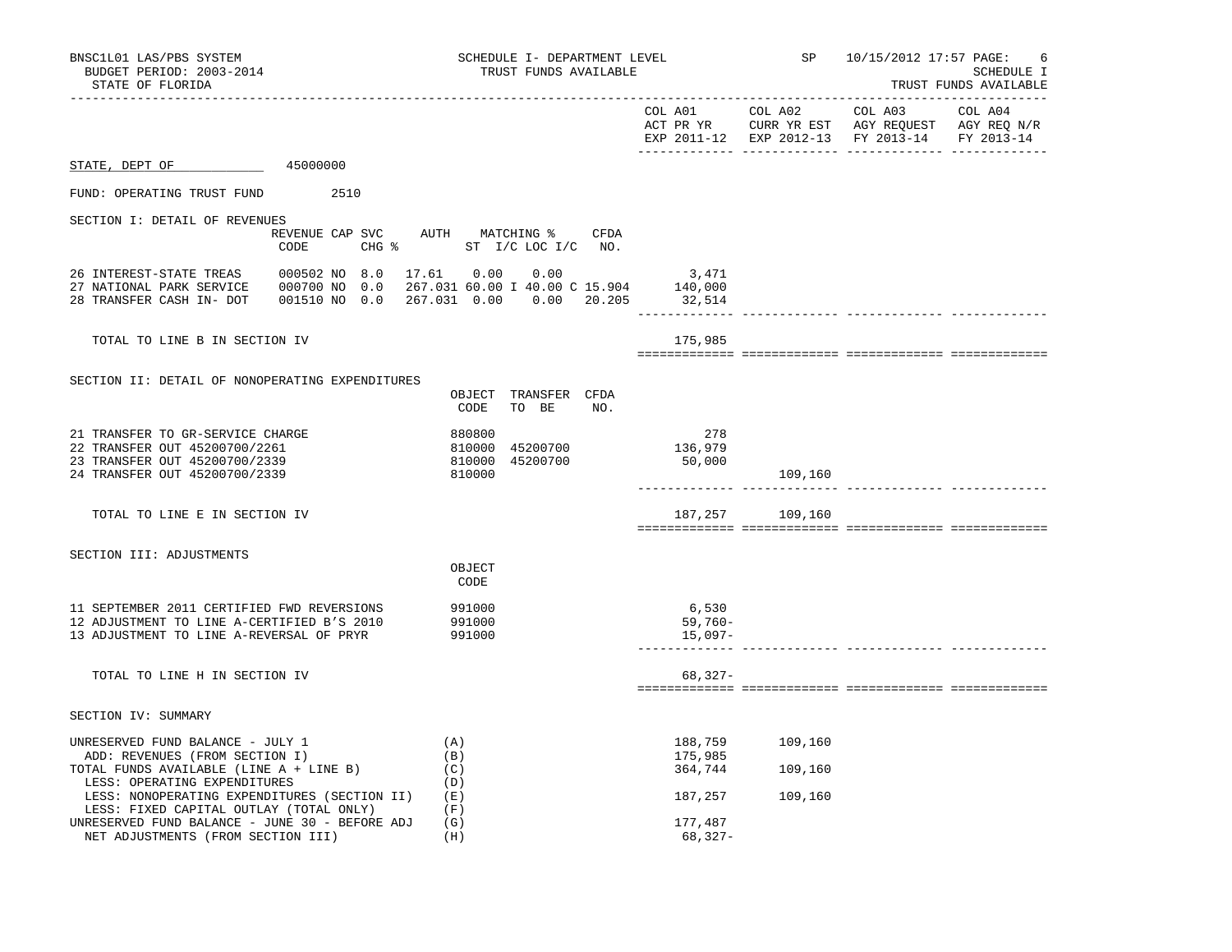| BNSC1L01 LAS/PBS SYSTEM<br>BUDGET PERIOD: 2003-2014<br>STATE OF FLORIDA                                                                       |                          | SCHEDULE I- DEPARTMENT LEVEL<br>TRUST FUNDS AVAILABLE                                                  |                                  | SP 10/15/2012 17:57 PAGE:<br>6<br><b>SCHEDULE I</b><br>TRUST FUNDS AVAILABLE |                                                                                                |                       |
|-----------------------------------------------------------------------------------------------------------------------------------------------|--------------------------|--------------------------------------------------------------------------------------------------------|----------------------------------|------------------------------------------------------------------------------|------------------------------------------------------------------------------------------------|-----------------------|
| --------------------                                                                                                                          |                          |                                                                                                        |                                  | COL A01 COL A02                                                              | COL A03<br>ACT PR YR CURR YR EST AGY REQUEST AGY REQ N/R<br>EXP 2011-12 EXP 2012-13 FY 2013-14 | COL A04<br>FY 2013-14 |
| $\frac{45000000}{2}$<br>STATE, DEPT OF                                                                                                        |                          |                                                                                                        |                                  |                                                                              |                                                                                                |                       |
| FUND: OPERATING TRUST FUND                                                                                                                    | 2510                     |                                                                                                        |                                  |                                                                              |                                                                                                |                       |
| SECTION I: DETAIL OF REVENUES                                                                                                                 |                          |                                                                                                        |                                  |                                                                              |                                                                                                |                       |
|                                                                                                                                               | CODE                     | REVENUE CAP SVC AUTH MATCHING % CFDA<br>CHG % ST I/C LOC I/C NO.                                       |                                  |                                                                              |                                                                                                |                       |
| 26 INTEREST-STATE TREAS<br>27 NATIONAL PARK SERVICE<br>28 TRANSFER CASH IN- DOT                                                               | 000502 NO 8.0 17.61 0.00 | 0.00<br>000700 NO 0.0 267.031 60.00 I 40.00 C 15.904 140,000<br>001510 NO 0.0 267.031 0.00 0.00 20.205 | 3,471<br>32,514<br>_____________ |                                                                              |                                                                                                |                       |
| TOTAL TO LINE B IN SECTION IV                                                                                                                 |                          |                                                                                                        | 175,985                          |                                                                              |                                                                                                |                       |
| SECTION II: DETAIL OF NONOPERATING EXPENDITURES                                                                                               |                          | OBJECT TRANSFER CFDA<br>CODE TO BE<br>NO.                                                              |                                  |                                                                              |                                                                                                |                       |
| 21 TRANSFER TO GR-SERVICE CHARGE<br>22 TRANSFER OUT 45200700/2261<br>23 TRANSFER OUT 45200700/2339<br>24 TRANSFER OUT 45200700/2339           |                          | 880800<br>810000 45200700<br>810000 45200700<br>810000                                                 | 278<br>136,979<br>50,000         | 109,160                                                                      |                                                                                                |                       |
| TOTAL TO LINE E IN SECTION IV                                                                                                                 |                          |                                                                                                        |                                  | 187,257 109,160                                                              |                                                                                                |                       |
| SECTION III: ADJUSTMENTS                                                                                                                      |                          | OBJECT<br>CODE                                                                                         |                                  |                                                                              |                                                                                                |                       |
| 11 SEPTEMBER 2011 CERTIFIED FWD REVERSIONS<br>12 ADJUSTMENT TO LINE A-CERTIFIED B'S 2010<br>13 ADJUSTMENT TO LINE A-REVERSAL OF PRYR          |                          | 991000<br>991000<br>991000                                                                             | 6,530<br>$59,760-$<br>$15,097-$  |                                                                              |                                                                                                |                       |
| TOTAL TO LINE H IN SECTION IV                                                                                                                 |                          |                                                                                                        | $68,327-$                        |                                                                              |                                                                                                |                       |
| SECTION IV: SUMMARY                                                                                                                           |                          |                                                                                                        |                                  |                                                                              |                                                                                                |                       |
| UNRESERVED FUND BALANCE - JULY 1<br>ADD: REVENUES (FROM SECTION I)<br>TOTAL FUNDS AVAILABLE (LINE A + LINE B)<br>LESS: OPERATING EXPENDITURES |                          | (A)<br>(B)<br>(C)<br>(D)                                                                               | 188,759<br>175,985<br>364,744    | 109,160<br>109,160                                                           |                                                                                                |                       |
| LESS: NONOPERATING EXPENDITURES (SECTION II)<br>LESS: FIXED CAPITAL OUTLAY (TOTAL ONLY)<br>UNRESERVED FUND BALANCE - JUNE 30 - BEFORE ADJ     |                          | (E)<br>(F)<br>(G)                                                                                      | 187,257<br>177,487               | 109,160                                                                      |                                                                                                |                       |
| NET ADJUSTMENTS (FROM SECTION III)                                                                                                            |                          | (H)                                                                                                    | 68,327-                          |                                                                              |                                                                                                |                       |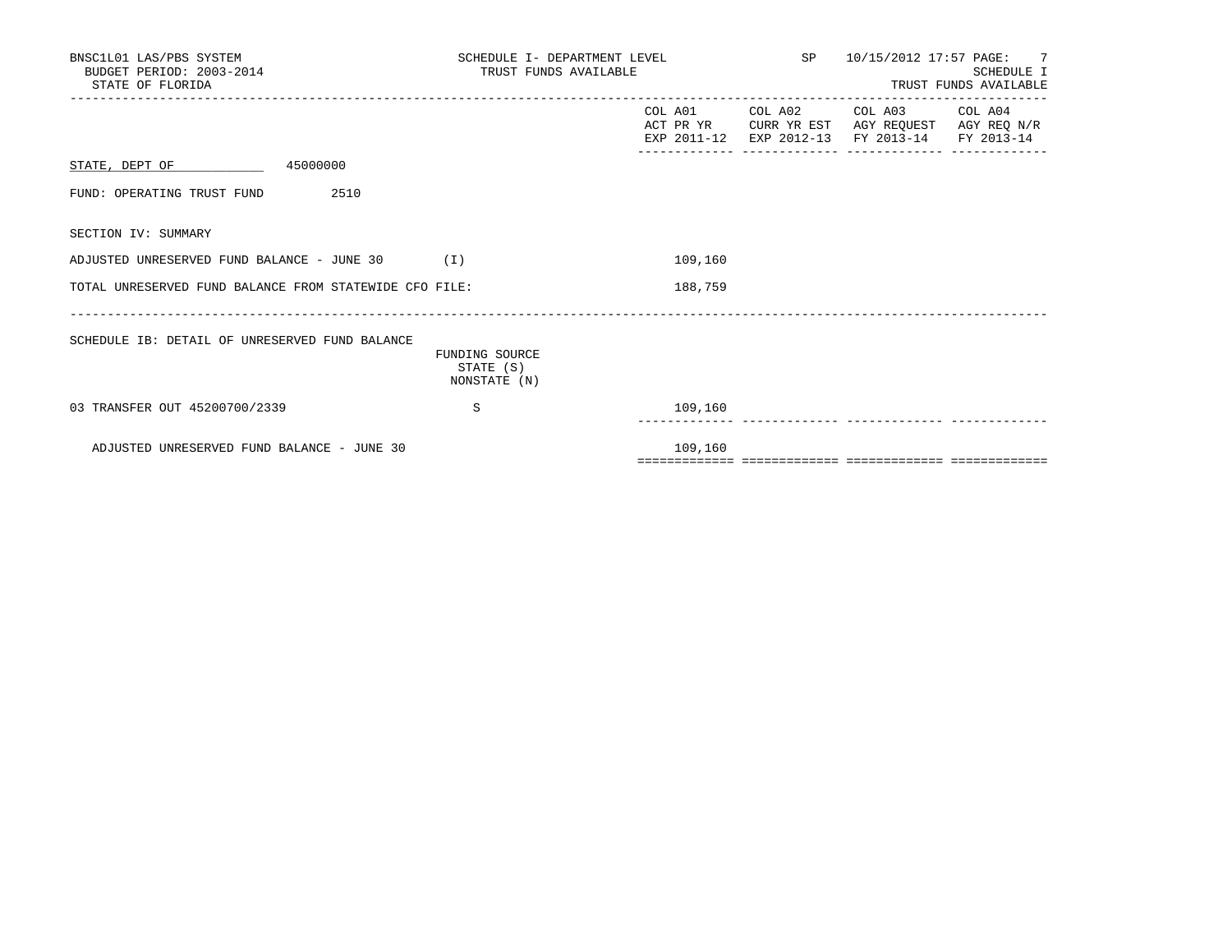| BNSC1L01 LAS/PBS SYSTEM<br>BUDGET PERIOD: 2003-2014<br>STATE OF FLORIDA | SCHEDULE I- DEPARTMENT LEVEL<br>TRUST FUNDS AVAILABLE |         |  | 10/15/2012 17:57 PAGE: 7<br>SP and the set of the set of the set of the set of the set of the set of the set of the set of the set of the set of the set of the set of the set of the set of the set of the set of the set of the set of the set of the se<br>SCHEDULE I<br>TRUST FUNDS AVAILABLE |            |  |
|-------------------------------------------------------------------------|-------------------------------------------------------|---------|--|---------------------------------------------------------------------------------------------------------------------------------------------------------------------------------------------------------------------------------------------------------------------------------------------------|------------|--|
|                                                                         |                                                       | COL A01 |  | COL A02 COL A03 COL A04<br>ACT PR YR CURR YR EST AGY REQUEST AGY REQ N/R<br>EXP 2011-12 EXP 2012-13 FY 2013-14                                                                                                                                                                                    | FY 2013-14 |  |
| STATE, DEPT OF 45000000                                                 |                                                       |         |  |                                                                                                                                                                                                                                                                                                   |            |  |
| 2510<br>FUND: OPERATING TRUST FUND                                      |                                                       |         |  |                                                                                                                                                                                                                                                                                                   |            |  |
| SECTION IV: SUMMARY                                                     |                                                       |         |  |                                                                                                                                                                                                                                                                                                   |            |  |
| ADJUSTED UNRESERVED FUND BALANCE - JUNE 30<br>(1)                       |                                                       | 109,160 |  |                                                                                                                                                                                                                                                                                                   |            |  |
| TOTAL UNRESERVED FUND BALANCE FROM STATEWIDE CFO FILE:                  |                                                       | 188,759 |  |                                                                                                                                                                                                                                                                                                   |            |  |
| SCHEDULE IB: DETAIL OF UNRESERVED FUND BALANCE                          | FUNDING SOURCE<br>STATE (S)<br>NONSTATE (N)           |         |  |                                                                                                                                                                                                                                                                                                   |            |  |
| 03 TRANSFER OUT 45200700/2339                                           | S                                                     | 109,160 |  |                                                                                                                                                                                                                                                                                                   |            |  |
| ADJUSTED UNRESERVED FUND BALANCE - JUNE 30                              |                                                       | 109,160 |  |                                                                                                                                                                                                                                                                                                   |            |  |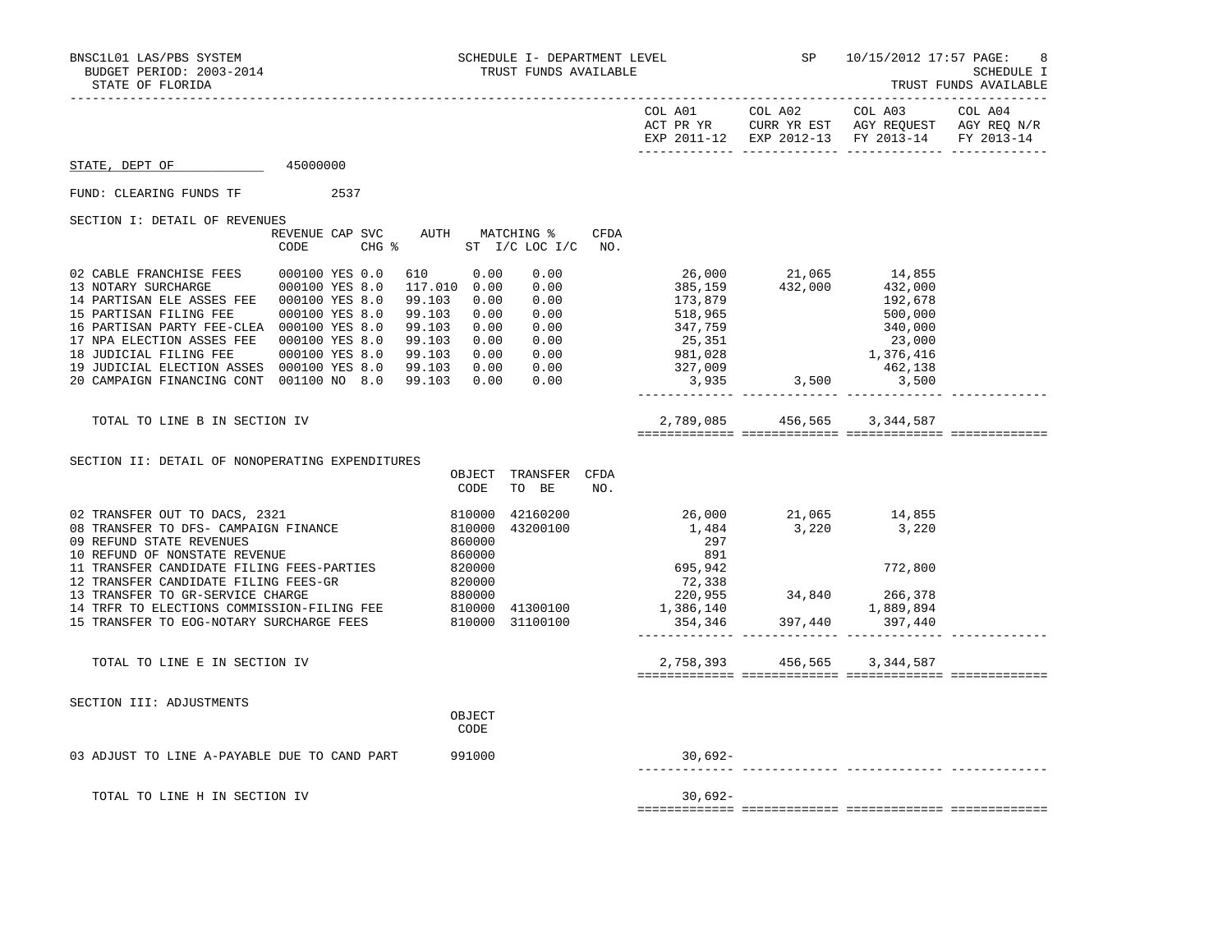|                                                                                                                                                                                                                                                                                                                                                                                                                                                       |                                                                                                                                                          |                               | EXP 2011-12 EXP 2012-13 FY 2013-14 FY 2013-14                                                                                                                      |                               |  |
|-------------------------------------------------------------------------------------------------------------------------------------------------------------------------------------------------------------------------------------------------------------------------------------------------------------------------------------------------------------------------------------------------------------------------------------------------------|----------------------------------------------------------------------------------------------------------------------------------------------------------|-------------------------------|--------------------------------------------------------------------------------------------------------------------------------------------------------------------|-------------------------------|--|
| 45000000<br>STATE, DEPT OF                                                                                                                                                                                                                                                                                                                                                                                                                            |                                                                                                                                                          |                               |                                                                                                                                                                    |                               |  |
| FUND: CLEARING FUNDS TF<br>2537                                                                                                                                                                                                                                                                                                                                                                                                                       |                                                                                                                                                          |                               |                                                                                                                                                                    |                               |  |
| SECTION I: DETAIL OF REVENUES                                                                                                                                                                                                                                                                                                                                                                                                                         |                                                                                                                                                          |                               |                                                                                                                                                                    |                               |  |
| CODE                                                                                                                                                                                                                                                                                                                                                                                                                                                  | REVENUE CAP SVC AUTH MATCHING %<br>CFDA<br>CHG % ST I/C LOC I/C NO.                                                                                      |                               |                                                                                                                                                                    |                               |  |
| 02 CABLE FRANCHISE FEES<br>000100 YES 0.0<br>13 NOTARY SURCHARGE 000100 YES 8.0<br>14 PARTISAN ELE ASSES FEE   000100 YES 8.0<br>15 PARTISAN FILING FEE 000100 YES 8.0<br>16 PARTISAN PARTY FEE-CLEA 000100 YES 8.0<br>17 NPA ELECTION ASSES FEE  000100 YES 8.0<br>18 JUDICIAL FILING FEE 000100 YES 8.0 99.103 0.00 0.00<br>19 JUDICIAL ELECTION ASSES 000100 YES 8.0 99.103 0.00 0.00<br>20 CAMPAIGN FINANCING CONT 001100 NO 8.0 99.103 0.00 0.00 | 610 0.00<br>0.00<br>117.010 0.00<br>0.00<br>0.00<br>99.103<br>0.00<br>99.103<br>0.00<br>0.00<br>99.103<br>0.00<br>0.00<br>99.103<br>0.00<br>0.00<br>0.00 | 173,879<br>518,965<br>347,759 | 26,000 21,065 14,855<br>385,159 432,000 432,000<br>$25,351$<br>$981,028$<br>$327,009$<br>$3,935$<br>$3,935$<br>$3,500$<br>$3,935$<br>$3,500$<br>$3,500$<br>$3,500$ | 192,678<br>500,000<br>340,000 |  |
|                                                                                                                                                                                                                                                                                                                                                                                                                                                       |                                                                                                                                                          |                               |                                                                                                                                                                    |                               |  |
| TOTAL TO LINE B IN SECTION IV                                                                                                                                                                                                                                                                                                                                                                                                                         |                                                                                                                                                          |                               | 2,789,085 456,565 3,344,587                                                                                                                                        |                               |  |
|                                                                                                                                                                                                                                                                                                                                                                                                                                                       |                                                                                                                                                          |                               |                                                                                                                                                                    |                               |  |
| SECTION II: DETAIL OF NONOPERATING EXPENDITURES                                                                                                                                                                                                                                                                                                                                                                                                       | TRANSFER CFDA<br>OBJECT<br>CODE<br>TO BE<br>NO.                                                                                                          |                               |                                                                                                                                                                    |                               |  |
| 02 TRANSFER OUT TO DACS, 2321<br>08 TRANSFER TO DFS- CAMPAIGN FINANCE<br>09 REFUND STATE REVENUES<br>10 REFUND OF NONSTATE REVENUE                                                                                                                                                                                                                                                                                                                    | 810000<br>42160200<br>810000<br>43200100<br>860000<br>860000                                                                                             | 297<br>891                    | 26,000 21,065 14,855<br>1,484 3,220 3,220                                                                                                                          |                               |  |
| 11 TRANSFER CANDIDATE FILING FEES-PARTIES 820000                                                                                                                                                                                                                                                                                                                                                                                                      |                                                                                                                                                          | 695,942                       |                                                                                                                                                                    | 772,800                       |  |
| 12 TRANSFER CANDIDATE FILING FEES-GR<br>13 TRANSFER TO GR-SERVICE CHARGE 680000<br>14 TRFR TO ELECTIONS COMMISSION-FILING FEE 810000 41300100                                                                                                                                                                                                                                                                                                         | 820000                                                                                                                                                   | 1,386,140                     | $72,338$<br>$220,955$<br>$34,840$<br>$1,889,894$<br>$354,346$<br>$397,440$<br>$397,440$<br>$397,440$                                                               |                               |  |
| 15 TRANSFER TO EOG-NOTARY SURCHARGE FEES 810000 31100100                                                                                                                                                                                                                                                                                                                                                                                              |                                                                                                                                                          |                               |                                                                                                                                                                    |                               |  |
| TOTAL TO LINE E IN SECTION IV                                                                                                                                                                                                                                                                                                                                                                                                                         |                                                                                                                                                          |                               | 2,758,393 456,565 3,344,587                                                                                                                                        |                               |  |
|                                                                                                                                                                                                                                                                                                                                                                                                                                                       |                                                                                                                                                          |                               |                                                                                                                                                                    |                               |  |
| SECTION III: ADJUSTMENTS                                                                                                                                                                                                                                                                                                                                                                                                                              | OBJECT<br>CODE                                                                                                                                           |                               |                                                                                                                                                                    |                               |  |
| 03 ADJUST TO LINE A-PAYABLE DUE TO CAND PART 991000                                                                                                                                                                                                                                                                                                                                                                                                   |                                                                                                                                                          | $30.692 -$                    |                                                                                                                                                                    |                               |  |
| TOTAL TO LINE H IN SECTION IV                                                                                                                                                                                                                                                                                                                                                                                                                         |                                                                                                                                                          | $30,692 -$                    |                                                                                                                                                                    |                               |  |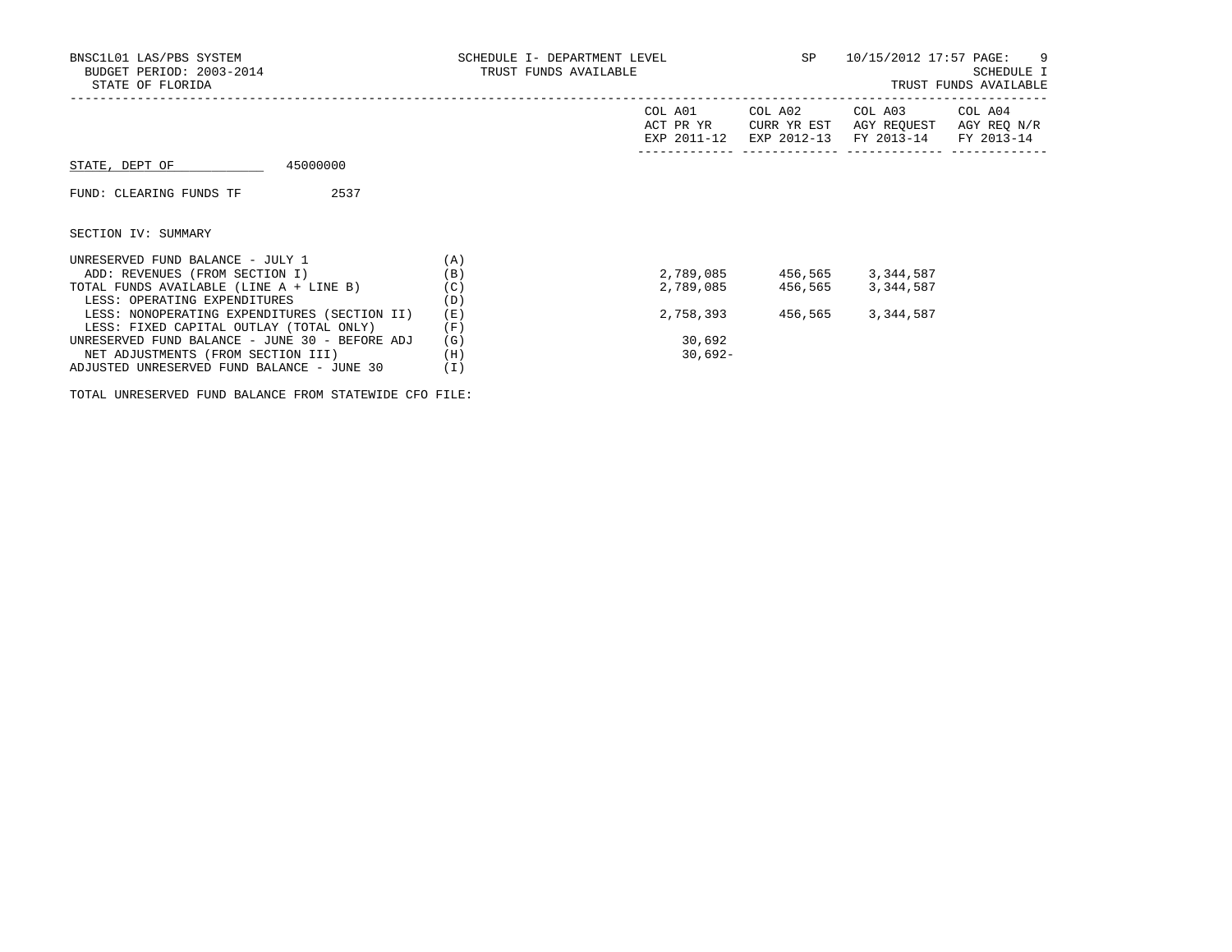| BNSC1L01 LAS/PBS SYSTEM<br>BUDGET PERIOD: 2003-2014<br>STATE OF FLORIDA | SCHEDULE I- DEPARTMENT LEVEL<br>TRUST FUNDS AVAILABLE | SP                                  | 10/15/2012 17:57 PAGE: 9<br>SCHEDULE I<br>TRUST FUNDS AVAILABLE |                                                             |                        |
|-------------------------------------------------------------------------|-------------------------------------------------------|-------------------------------------|-----------------------------------------------------------------|-------------------------------------------------------------|------------------------|
|                                                                         |                                                       | COL A01<br>ACT PR YR<br>EXP 2011-12 | COL A02<br>CURR YR EST                                          | COL A03<br>AGY REOUEST<br>EXP 2012-13 FY 2013-14 FY 2013-14 | COL A04<br>AGY REQ N/R |
| 45000000<br>STATE, DEPT OF                                              |                                                       |                                     |                                                                 |                                                             |                        |
| 2537<br>FUND: CLEARING FUNDS TF                                         |                                                       |                                     |                                                                 |                                                             |                        |
| SECTION IV: SUMMARY                                                     |                                                       |                                     |                                                                 |                                                             |                        |
| UNRESERVED FUND BALANCE - JULY 1                                        | (A)                                                   |                                     |                                                                 |                                                             |                        |
| ADD: REVENUES (FROM SECTION I)                                          | (B)                                                   | 2,789,085                           |                                                                 | 456,565 3,344,587                                           |                        |
| TOTAL FUNDS AVAILABLE (LINE A + LINE B)                                 | (C)                                                   | 2,789,085                           | 456,565                                                         | 3,344,587                                                   |                        |
| LESS: OPERATING EXPENDITURES                                            | (D)                                                   |                                     |                                                                 |                                                             |                        |
| LESS: NONOPERATING EXPENDITURES (SECTION II)                            | (E)                                                   | 2,758,393                           | 456,565                                                         | 3,344,587                                                   |                        |
| LESS: FIXED CAPITAL OUTLAY (TOTAL ONLY)                                 | (F)                                                   |                                     |                                                                 |                                                             |                        |
| UNRESERVED FUND BALANCE - JUNE 30 - BEFORE ADJ                          | (G)                                                   | 30,692                              |                                                                 |                                                             |                        |
| NET ADJUSTMENTS (FROM SECTION III)                                      | (H)                                                   | $30,692 -$                          |                                                                 |                                                             |                        |
| ADJUSTED UNRESERVED FUND BALANCE - JUNE 30                              | (I)                                                   |                                     |                                                                 |                                                             |                        |

TOTAL UNRESERVED FUND BALANCE FROM STATEWIDE CFO FILE: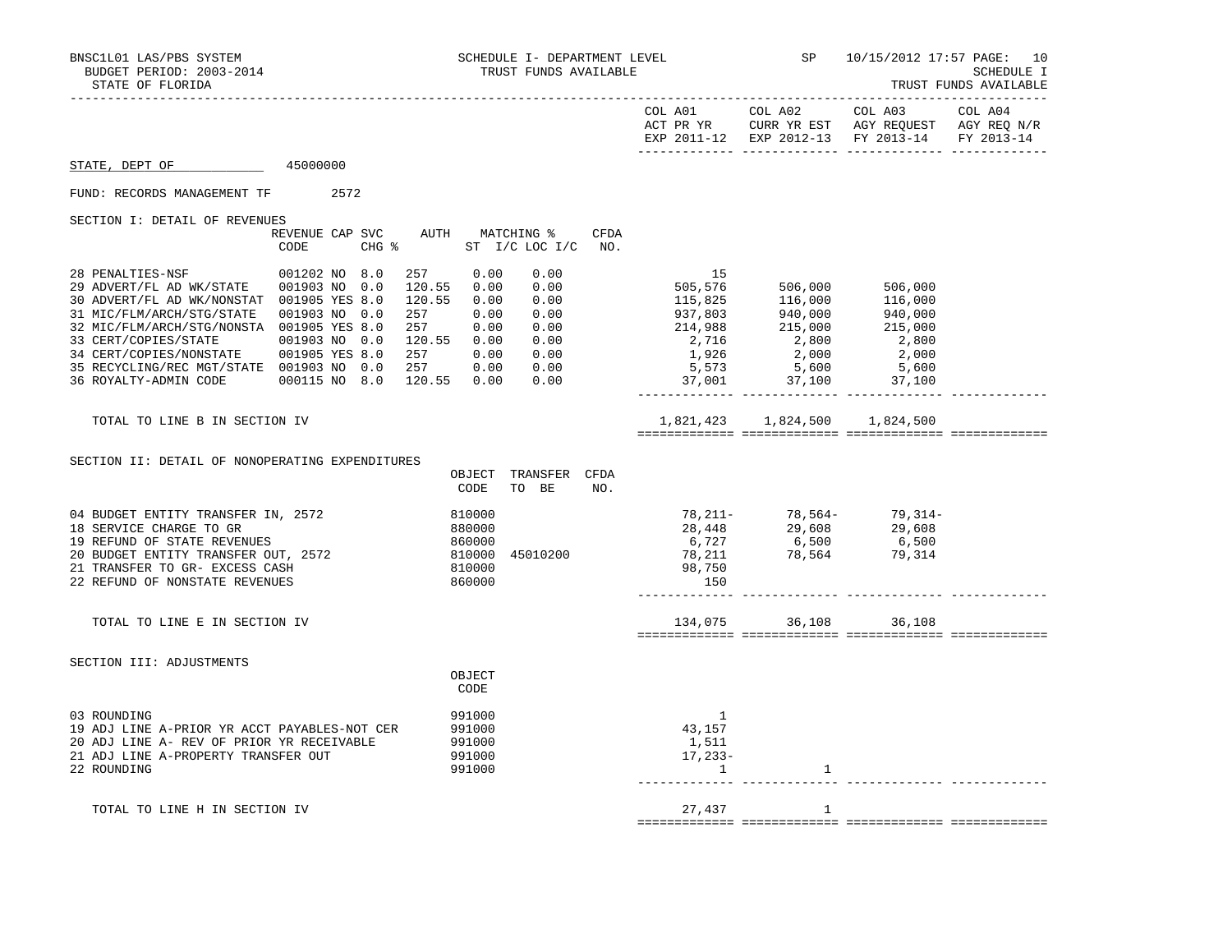|                                                                                                                                                                                                                                                                                                                                                                                                                                                  |      |                                                                                                                            |                                                      | EXP 2011-12 EXP 2012-13 FY 2013-14 FY 2013-14                                                                                                                                                                 |         |  |
|--------------------------------------------------------------------------------------------------------------------------------------------------------------------------------------------------------------------------------------------------------------------------------------------------------------------------------------------------------------------------------------------------------------------------------------------------|------|----------------------------------------------------------------------------------------------------------------------------|------------------------------------------------------|---------------------------------------------------------------------------------------------------------------------------------------------------------------------------------------------------------------|---------|--|
| 45000000<br>STATE, DEPT OF                                                                                                                                                                                                                                                                                                                                                                                                                       |      |                                                                                                                            |                                                      |                                                                                                                                                                                                               |         |  |
| FUND: RECORDS MANAGEMENT TF 2572                                                                                                                                                                                                                                                                                                                                                                                                                 |      |                                                                                                                            |                                                      |                                                                                                                                                                                                               |         |  |
| SECTION I: DETAIL OF REVENUES                                                                                                                                                                                                                                                                                                                                                                                                                    |      |                                                                                                                            |                                                      |                                                                                                                                                                                                               |         |  |
|                                                                                                                                                                                                                                                                                                                                                                                                                                                  | CODE | REVENUE CAP SVC AUTH MATCHING %<br>CHG % ST I/C LOC I/C NO.                                                                | CFDA                                                 |                                                                                                                                                                                                               |         |  |
| 28 PENALTIES-NSF 001202 NO 8.0<br>29 ADVERT/FL AD WK/STATE 001903 NO 0.0<br>30 ADVERT/FL AD WK/NONSTAT 001905 YES 8.0<br>31 MIC/FLM/ARCH/STG/STATE 001903 NO 0.0<br>32 MIC/FLM/ARCH/STG/NONSTA 001905 YES 8.0<br>33 CERT/COPIES/STATE 001903 NO 0.0 120.55 0.00 0.00<br>34 CERT/COPIES/NONSTATE 001903 NO 0.0 120.55 0.00 0.00<br>35 RECYCLING/REC MGT/STATE 001903 NO 0.0 257 0.00 0.00<br>36 ROYALTY-ADMIN CODE 000115 NO 8.0 120.55 0.00 0.00 |      | 257<br>0.00<br>0.00<br>120.55 0.00<br>0.00<br>$0.00$<br>$0.00$<br>120.55<br>$0.00$<br>$0.00$<br>257<br>0.00<br>257<br>0.00 |                                                      | 115,825 116,000 500,000<br>115,825 116,000 116,000<br>937,803 940,000 940,000<br>214,988 215,000 215,000<br>2,716 2,800 2,800<br>1,926 2,000 2,000<br>5,573 5,600 5,600<br>1,926 2,000 37,100<br>1,100 37,100 | 506,000 |  |
| TOTAL TO LINE B IN SECTION IV                                                                                                                                                                                                                                                                                                                                                                                                                    |      |                                                                                                                            |                                                      | 1,821,423 1,824,500 1,824,500                                                                                                                                                                                 |         |  |
| SECTION II: DETAIL OF NONOPERATING EXPENDITURES                                                                                                                                                                                                                                                                                                                                                                                                  |      | OBJECT<br>TRANSFER CFDA<br>CODE<br>TO BE                                                                                   | NO.                                                  |                                                                                                                                                                                                               |         |  |
| 04 BUDGET ENTITY TRANSFER IN, 2572<br>18 SERVICE CHARGE TO GR<br>19 REFUND OF STATE REVENUES<br>20 BUDGET ENTITY TRANSFER OUT, 2572<br>21 TRANSFER TO GR- EXCESS CASH<br>22 REFUND OF NONSTATE REVENUES                                                                                                                                                                                                                                          |      | 810000<br>880000<br>860000<br>810000<br>810000<br>45010200<br>860000                                                       | 150                                                  | 78, 211-<br>28, 448<br>6, 727<br>78, 211<br>78, 564<br>79, 314<br>78, 750<br>78, 564<br>79, 314<br>79, 314                                                                                                    |         |  |
| TOTAL TO LINE E IN SECTION IV                                                                                                                                                                                                                                                                                                                                                                                                                    |      |                                                                                                                            |                                                      | 134,075 36,108 36,108                                                                                                                                                                                         |         |  |
| SECTION III: ADJUSTMENTS                                                                                                                                                                                                                                                                                                                                                                                                                         |      | OBJECT<br>CODE                                                                                                             |                                                      |                                                                                                                                                                                                               |         |  |
| 03 ROUNDING<br>19 ADJ LINE A-PRIOR YR ACCT PAYABLES-NOT CER<br>20 ADJ LINE A- REV OF PRIOR YR RECEIVABLE<br>21 ADJ LINE A-PROPERTY TRANSFER OUT<br>22 ROUNDING                                                                                                                                                                                                                                                                                   |      | 991000<br>991000<br>991000<br>991000<br>991000                                                                             | -1<br>43,157<br>1,511<br>$17,233-$<br>$\overline{1}$ | 1                                                                                                                                                                                                             |         |  |
| TOTAL TO LINE H IN SECTION IV                                                                                                                                                                                                                                                                                                                                                                                                                    |      |                                                                                                                            | 27,437                                               | 1                                                                                                                                                                                                             |         |  |